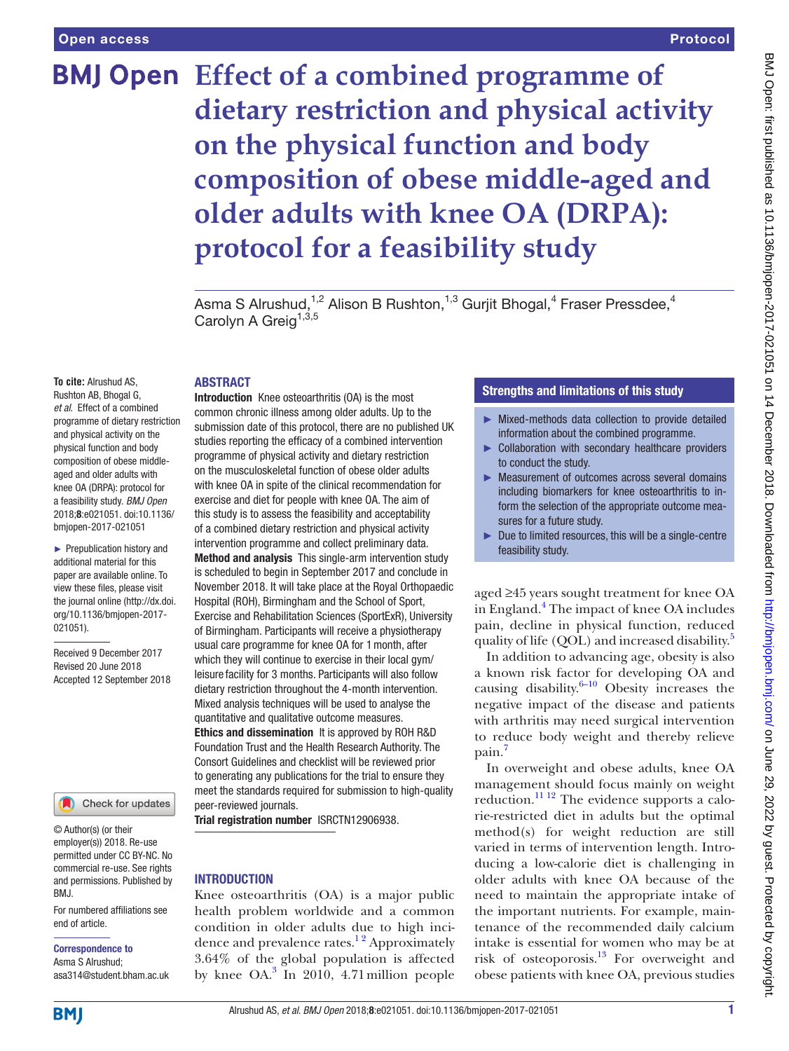### Protocol

# **BMJ Open** Effect of a combined programme of **dietary restriction and physical activity on the physical function and body composition of obese middle-aged and older adults with knee OA (DRPA): protocol for a feasibility study**

Asma S Alrushud, $^{1,2}$  Alison B Rushton, $^{1,3}$  Gurjit Bhogal, $^4$  Fraser Pressdee, $^4$ Carolyn A Greig<sup>1,3,5</sup>

### **ABSTRACT**

**To cite:** Alrushud AS, Rushton AB, Bhogal G, *et al*. Effect of a combined programme of dietary restriction and physical activity on the physical function and body composition of obese middleaged and older adults with knee OA (DRPA): protocol for a feasibility study. *BMJ Open* 2018;8:e021051. doi:10.1136/ bmjopen-2017-021051

► Prepublication history and additional material for this paper are available online. To view these files, please visit the journal online [\(http://dx.doi.](http://dx.doi.org/10.1136/bmjopen-2017-021051) [org/10.1136/bmjopen-2017-](http://dx.doi.org/10.1136/bmjopen-2017-021051) [021051\)](http://dx.doi.org/10.1136/bmjopen-2017-021051).

Received 9 December 2017 Revised 20 June 2018 Accepted 12 September 2018



© Author(s) (or their employer(s)) 2018. Re-use permitted under CC BY-NC. No commercial re-use. See rights and permissions. Published by BMJ.

For numbered affiliations see end of article.

## Correspondence to Asma S Alrushud;

asa314@student.bham.ac.uk

common chronic illness among older adults. Up to the submission date of this protocol, there are no published UK studies reporting the efficacy of a combined intervention programme of physical activity and dietary restriction on the musculoskeletal function of obese older adults with knee OA in spite of the clinical recommendation for exercise and diet for people with knee OA. The aim of this study is to assess the feasibility and acceptability of a combined dietary restriction and physical activity intervention programme and collect preliminary data. Method and analysis This single-arm intervention study is scheduled to begin in September 2017 and conclude in November 2018. It will take place at the Royal Orthopaedic Hospital (ROH), Birmingham and the School of Sport, Exercise and Rehabilitation Sciences (SportExR), University of Birmingham. Participants will receive a physiotherapy usual care programme for knee OA for 1month, after which they will continue to exercise in their local gym/ leisure facility for 3 months. Participants will also follow dietary restriction throughout the 4-month intervention. Mixed analysis techniques will be used to analyse the quantitative and qualitative outcome measures. Ethics and dissemination It is approved by ROH R&D Foundation Trust and the Health Research Authority. The Consort Guidelines and checklist will be reviewed prior to generating any publications for the trial to ensure they meet the standards required for submission to high-quality peer-reviewed journals.

Introduction Knee osteoarthritis (OA) is the most

Trial registration number <ISRCTN12906938>.

### **INTRODUCTION**

Knee osteoarthritis (OA) is a major public health problem worldwide and a common condition in older adults due to high incidence and prevalence rates.<sup>12</sup> Approximately 3.64% of the global population is affected by knee  $OA^3$  $OA^3$  In 2010, 4.71 million people

### Strengths and limitations of this study

- ► Mixed-methods data collection to provide detailed information about the combined programme.
- ► Collaboration with secondary healthcare providers to conduct the study.
- ► Measurement of outcomes across several domains including biomarkers for knee osteoarthritis to inform the selection of the appropriate outcome measures for a future study.
- ► Due to limited resources, this will be a single-centre feasibility study.

aged ≥45 years sought treatment for knee OA in England.<sup>[4](#page-8-0)</sup> The impact of knee OA includes pain, decline in physical function, reduced quality of life (QOL) and increased disability.<sup>[5](#page-8-1)</sup>

In addition to advancing age, obesity is also a known risk factor for developing OA and causing disability. $6-10$  Obesity increases the negative impact of the disease and patients with arthritis may need surgical intervention to reduce body weight and thereby relieve pain.<sup>7</sup>

In overweight and obese adults, knee OA management should focus mainly on weight reduction.<sup>11 12</sup> The evidence supports a calorie-restricted diet in adults but the optimal method(s) for weight reduction are still varied in terms of intervention length. Introducing a low-calorie diet is challenging in older adults with knee OA because of the need to maintain the appropriate intake of the important nutrients. For example, maintenance of the recommended daily calcium intake is essential for women who may be at risk of osteoporosis[.13](#page-8-5) For overweight and obese patients with knee OA, previous studies

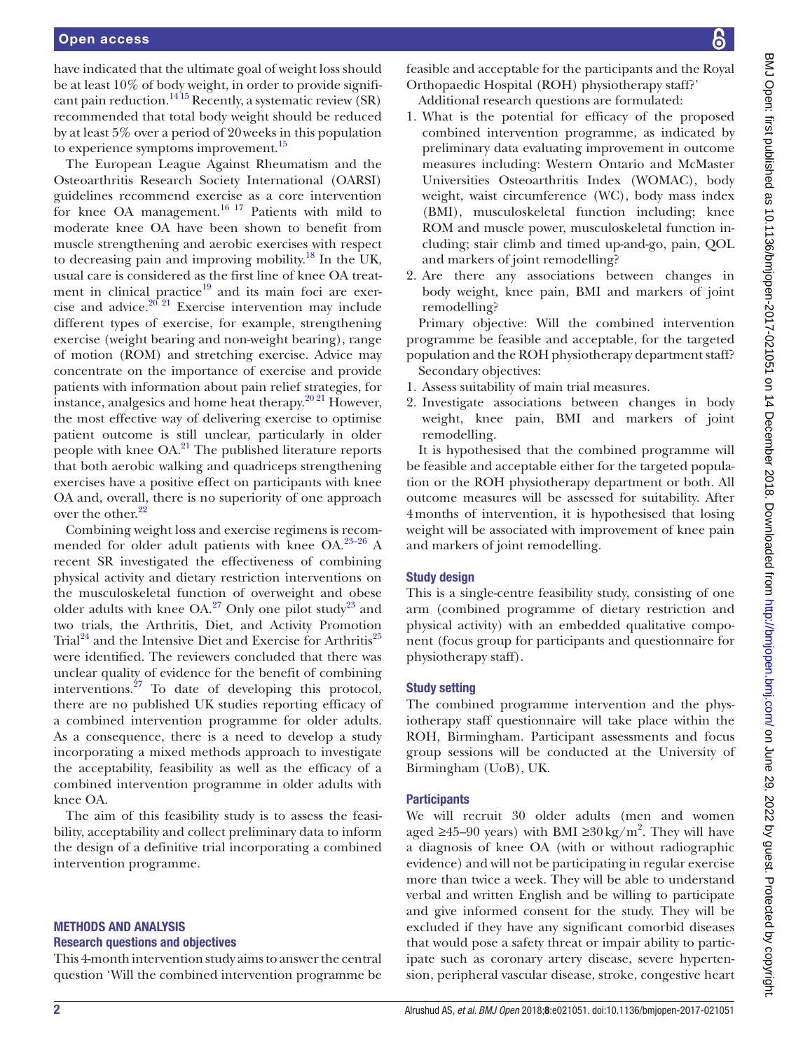have indicated that the ultimate goal of weight loss should be at least 10% of body weight, in order to provide significant pain reduction.<sup>1415</sup> Recently, a systematic review (SR) recommended that total body weight should be reduced by at least 5% over a period of 20weeks in this population to experience symptoms improvement.<sup>[15](#page-8-7)</sup>

The European League Against Rheumatism and the Osteoarthritis Research Society International (OARSI) guidelines recommend exercise as a core intervention for knee OA management.<sup>16 17</sup> Patients with mild to moderate knee OA have been shown to benefit from muscle strengthening and aerobic exercises with respect to decreasing pain and improving mobility.<sup>18</sup> In the UK, usual care is considered as the first line of knee OA treatment in clinical practice $19$  and its main foci are exer-cise and advice.<sup>[20 21](#page-8-11)</sup> Exercise intervention may include different types of exercise, for example, strengthening exercise (weight bearing and non-weight bearing), range of motion (ROM) and stretching exercise. Advice may concentrate on the importance of exercise and provide patients with information about pain relief strategies, for instance, analgesics and home heat therapy.<sup>20 21</sup> However, the most effective way of delivering exercise to optimise patient outcome is still unclear, particularly in older people with knee  $OA<sup>21</sup>$ . The published literature reports that both aerobic walking and quadriceps strengthening exercises have a positive effect on participants with knee OA and, overall, there is no superiority of one approach over the other.<sup>22</sup>

Combining weight loss and exercise regimens is recommended for older adult patients with knee OA.[23–26](#page-8-14) A recent SR investigated the effectiveness of combining physical activity and dietary restriction interventions on the musculoskeletal function of overweight and obese older adults with knee  $OA<sup>27</sup>$  Only one pilot study<sup>23</sup> and two trials, the Arthritis, Diet, and Activity Promotion Trial<sup>[24](#page-8-16)</sup> and the Intensive Diet and Exercise for Arthritis<sup>25</sup> were identified. The reviewers concluded that there was unclear quality of evidence for the benefit of combining interventions.[27](#page-8-15) To date of developing this protocol, there are no published UK studies reporting efficacy of a combined intervention programme for older adults. As a consequence, there is a need to develop a study incorporating a mixed methods approach to investigate the acceptability, feasibility as well as the efficacy of a combined intervention programme in older adults with knee OA.

The aim of this feasibility study is to assess the feasibility, acceptability and collect preliminary data to inform the design of a definitive trial incorporating a combined intervention programme.

### Methods and analysis

#### Research questions and objectives

This 4-month intervention study aims to answer the central question 'Will the combined intervention programme be feasible and acceptable for the participants and the Royal Orthopaedic Hospital (ROH) physiotherapy staff?'

- Additional research questions are formulated:
- 1. What is the potential for efficacy of the proposed combined intervention programme, as indicated by preliminary data evaluating improvement in outcome measures including: Western Ontario and McMaster Universities Osteoarthritis Index (WOMAC), body weight, waist circumference (WC), body mass index (BMI), musculoskeletal function including; knee ROM and muscle power, musculoskeletal function including; stair climb and timed up-and-go, pain, QOL and markers of joint remodelling?
- 2. Are there any associations between changes in body weight, knee pain, BMI and markers of joint remodelling?

Primary objective: Will the combined intervention programme be feasible and acceptable, for the targeted population and the ROH physiotherapy department staff? Secondary objectives:

- 1. Assess suitability of main trial measures.
- 2. Investigate associations between changes in body weight, knee pain, BMI and markers of joint remodelling.

It is hypothesised that the combined programme will be feasible and acceptable either for the targeted population or the ROH physiotherapy department or both. All outcome measures will be assessed for suitability. After 4months of intervention, it is hypothesised that losing weight will be associated with improvement of knee pain and markers of joint remodelling.

### Study design

This is a single-centre feasibility study, consisting of one arm (combined programme of dietary restriction and physical activity) with an embedded qualitative component (focus group for participants and questionnaire for physiotherapy staff).

#### Study setting

The combined programme intervention and the physiotherapy staff questionnaire will take place within the ROH, Birmingham. Participant assessments and focus group sessions will be conducted at the University of Birmingham (UoB), UK.

### **Participants**

We will recruit 30 older adults (men and women aged ≥45–90 years) with BMI ≥30 kg/m<sup>2</sup>. They will have a diagnosis of knee OA (with or without radiographic evidence) and will not be participating in regular exercise more than twice a week. They will be able to understand verbal and written English and be willing to participate and give informed consent for the study. They will be excluded if they have any significant comorbid diseases that would pose a safety threat or impair ability to participate such as coronary artery disease, severe hypertension, peripheral vascular disease, stroke, congestive heart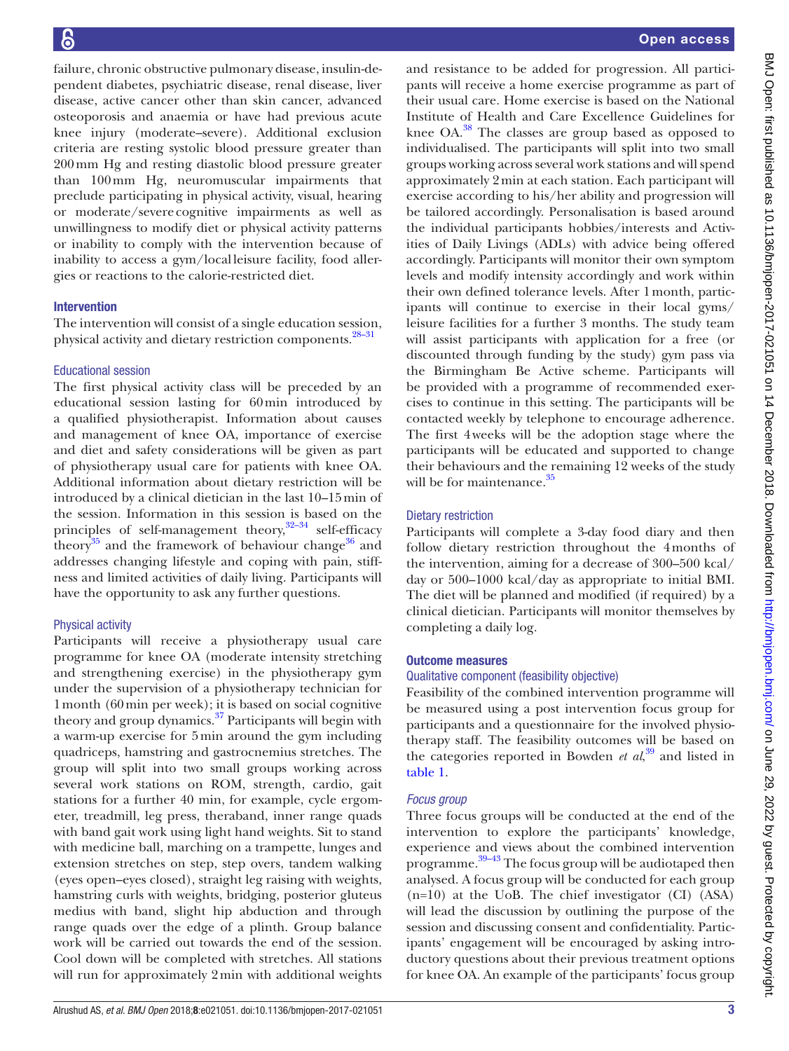failure, chronic obstructive pulmonary disease, insulin-dependent diabetes, psychiatric disease, renal disease, liver disease, active cancer other than skin cancer, advanced osteoporosis and anaemia or have had previous acute knee injury (moderate–severe). Additional exclusion criteria are resting systolic blood pressure greater than 200mm Hg and resting diastolic blood pressure greater than 100mm Hg, neuromuscular impairments that preclude participating in physical activity, visual, hearing or moderate/severecognitive impairments as well as unwillingness to modify diet or physical activity patterns or inability to comply with the intervention because of inability to access a gym/localleisure facility, food allergies or reactions to the calorie-restricted diet.

### Intervention

The intervention will consist of a single education session, physical activity and dietary restriction components.[28–31](#page-8-18)

### Educational session

The first physical activity class will be preceded by an educational session lasting for 60min introduced by a qualified physiotherapist. Information about causes and management of knee OA, importance of exercise and diet and safety considerations will be given as part of physiotherapy usual care for patients with knee OA. Additional information about dietary restriction will be introduced by a clinical dietician in the last 10–15min of the session. Information in this session is based on the principles of self-management theory, $32-34$  self-efficacy theory<sup>35</sup> and the framework of behaviour change<sup>36</sup> and addresses changing lifestyle and coping with pain, stiffness and limited activities of daily living. Participants will have the opportunity to ask any further questions.

### Physical activity

Participants will receive a physiotherapy usual care programme for knee OA (moderate intensity stretching and strengthening exercise) in the physiotherapy gym under the supervision of a physiotherapy technician for 1month (60min per week); it is based on social cognitive theory and group dynamics. $\frac{37}{7}$  $\frac{37}{7}$  $\frac{37}{7}$  Participants will begin with a warm-up exercise for 5min around the gym including quadriceps, hamstring and gastrocnemius stretches. The group will split into two small groups working across several work stations on ROM, strength, cardio, gait stations for a further 40 min, for example, cycle ergometer, treadmill, leg press, theraband, inner range quads with band gait work using light hand weights. Sit to stand with medicine ball, marching on a trampette, lunges and extension stretches on step, step overs, tandem walking (eyes open–eyes closed), straight leg raising with weights, hamstring curls with weights, bridging, posterior gluteus medius with band, slight hip abduction and through range quads over the edge of a plinth. Group balance work will be carried out towards the end of the session. Cool down will be completed with stretches. All stations will run for approximately 2min with additional weights

and resistance to be added for progression. All participants will receive a home exercise programme as part of their usual care. Home exercise is based on the National Institute of Health and Care Excellence Guidelines for knee OA.<sup>38</sup> The classes are group based as opposed to individualised. The participants will split into two small groups working across several work stations and will spend approximately 2min at each station. Each participant will exercise according to his/her ability and progression will be tailored accordingly. Personalisation is based around the individual participants hobbies/interests and Activities of Daily Livings (ADLs) with advice being offered accordingly. Participants will monitor their own symptom levels and modify intensity accordingly and work within their own defined tolerance levels. After 1month, participants will continue to exercise in their local gyms/ leisure facilities for a further 3 months. The study team will assist participants with application for a free (or discounted through funding by the study) gym pass via the Birmingham Be Active scheme. Participants will be provided with a programme of recommended exercises to continue in this setting. The participants will be contacted weekly by telephone to encourage adherence. The first 4weeks will be the adoption stage where the participants will be educated and supported to change their behaviours and the remaining 12 weeks of the study will be for maintenance.<sup>35</sup>

### Dietary restriction

Participants will complete a 3-day food diary and then follow dietary restriction throughout the 4months of the intervention, aiming for a decrease of 300–500 kcal/ day or 500–1000 kcal/day as appropriate to initial BMI. The diet will be planned and modified (if required) by a clinical dietician. Participants will monitor themselves by completing a daily log.

### Outcome measures

### Qualitative component (feasibility objective)

Feasibility of the combined intervention programme will be measured using a post intervention focus group for participants and a questionnaire for the involved physiotherapy staff. The feasibility outcomes will be based on the categories reported in Bowden *et al*, [39](#page-8-24) and listed in [table](#page-3-0) 1.

### *Focus group*

Three focus groups will be conducted at the end of the intervention to explore the participants' knowledge, experience and views about the combined intervention programme. [39–43](#page-8-24) The focus group will be audiotaped then analysed. A focus group will be conducted for each group (n=10) at the UoB. The chief investigator (CI) (ASA) will lead the discussion by outlining the purpose of the session and discussing consent and confidentiality. Participants' engagement will be encouraged by asking introductory questions about their previous treatment options for knee OA. An example of the participants' focus group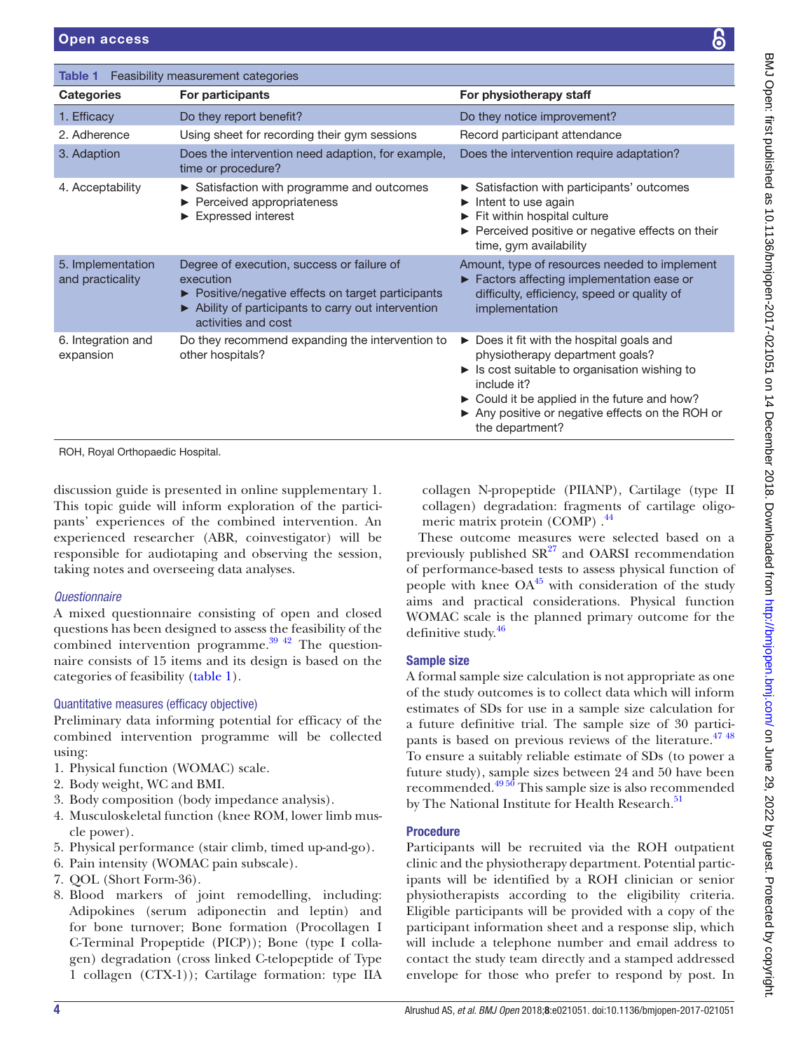<span id="page-3-0"></span>

| <b>Table 1</b> Feasibility measurement categories |                                                                                                                                                                                           |                                                                                                                                                                                                                                                                                   |  |  |  |
|---------------------------------------------------|-------------------------------------------------------------------------------------------------------------------------------------------------------------------------------------------|-----------------------------------------------------------------------------------------------------------------------------------------------------------------------------------------------------------------------------------------------------------------------------------|--|--|--|
| <b>Categories</b>                                 | For participants                                                                                                                                                                          | For physiotherapy staff                                                                                                                                                                                                                                                           |  |  |  |
| 1. Efficacy                                       | Do they report benefit?                                                                                                                                                                   | Do they notice improvement?                                                                                                                                                                                                                                                       |  |  |  |
| 2. Adherence                                      | Using sheet for recording their gym sessions                                                                                                                                              | Record participant attendance                                                                                                                                                                                                                                                     |  |  |  |
| 3. Adaption                                       | Does the intervention need adaption, for example,<br>time or procedure?                                                                                                                   | Does the intervention require adaptation?                                                                                                                                                                                                                                         |  |  |  |
| 4. Acceptability                                  | Satisfaction with programme and outcomes<br>▶ Perceived appropriateness<br>Expressed interest                                                                                             | Satisfaction with participants' outcomes<br>Intent to use again<br>$\blacktriangleright$ Fit within hospital culture<br>Perceived positive or negative effects on their<br>time, gym availability                                                                                 |  |  |  |
| 5. Implementation<br>and practicality             | Degree of execution, success or failure of<br>execution<br>▶ Positive/negative effects on target participants<br>Ability of participants to carry out intervention<br>activities and cost | Amount, type of resources needed to implement<br>Factors affecting implementation ease or<br>difficulty, efficiency, speed or quality of<br>implementation                                                                                                                        |  |  |  |
| 6. Integration and<br>expansion                   | Do they recommend expanding the intervention to<br>other hospitals?                                                                                                                       | $\triangleright$ Does it fit with the hospital goals and<br>physiotherapy department goals?<br>In Is cost suitable to organisation wishing to<br>include it?<br>► Could it be applied in the future and how?<br>Any positive or negative effects on the ROH or<br>the department? |  |  |  |
| ROH, Royal Orthopaedic Hospital.                  |                                                                                                                                                                                           |                                                                                                                                                                                                                                                                                   |  |  |  |

discussion guide is presented in online [supplementary 1.](https://dx.doi.org/10.1136/bmjopen-2017-021051) This topic guide will inform exploration of the participants' experiences of the combined intervention. An experienced researcher (ABR, coinvestigator) will be responsible for audiotaping and observing the session, taking notes and overseeing data analyses.

### *Questionnaire*

A mixed questionnaire consisting of open and closed questions has been designed to assess the feasibility of the combined intervention programme.<sup>39 42</sup> The questionnaire consists of 15 items and its design is based on the categories of feasibility [\(table](#page-3-0) 1).

## Quantitative measures (efficacy objective)

Preliminary data informing potential for efficacy of the combined intervention programme will be collected using:

- 1. Physical function (WOMAC) scale.
- 2. Body weight, WC and BMI.
- 3. Body composition (body impedance analysis).
- 4. Musculoskeletal function (knee ROM, lower limb muscle power).
- 5. Physical performance (stair climb, timed up-and-go).
- 6. Pain intensity (WOMAC pain subscale).
- 7. QOL (Short Form-36).
- 8. Blood markers of joint remodelling, including: Adipokines (serum adiponectin and leptin) and for bone turnover; Bone formation (Procollagen I C-Terminal Propeptide (PICP)); Bone (type I collagen) degradation (cross linked C-telopeptide of Type 1 collagen (CTX-1)); Cartilage formation: type IIA

collagen N-propeptide (PIIANP), Cartilage (type II collagen) degradation: fragments of cartilage oligomeric matrix protein (COMP).<sup>44</sup>

These outcome measures were selected based on a previously published  $SR^{27}$  $SR^{27}$  $SR^{27}$  and OARSI recommendation of performance-based tests to assess physical function of people with knee  $OA<sup>45</sup>$  $OA<sup>45</sup>$  $OA<sup>45</sup>$  with consideration of the study aims and practical considerations. Physical function WOMAC scale is the planned primary outcome for the definitive study.<sup>[46](#page-8-27)</sup>

## Sample size

A formal sample size calculation is not appropriate as one of the study outcomes is to collect data which will inform estimates of SDs for use in a sample size calculation for a future definitive trial. The sample size of 30 participants is based on previous reviews of the literature.<sup>47</sup><sup>48</sup> To ensure a suitably reliable estimate of SDs (to power a future study), sample sizes between 24 and 50 have been recommended.[49 50](#page-8-29) This sample size is also recommended by The National Institute for Health Research.<sup>[51](#page-8-30)</sup>

### Procedure

Participants will be recruited via the ROH outpatient clinic and the physiotherapy department. Potential participants will be identified by a ROH clinician or senior physiotherapists according to the eligibility criteria. Eligible participants will be provided with a copy of the participant information sheet and a response slip, which will include a telephone number and email address to contact the study team directly and a stamped addressed envelope for those who prefer to respond by post. In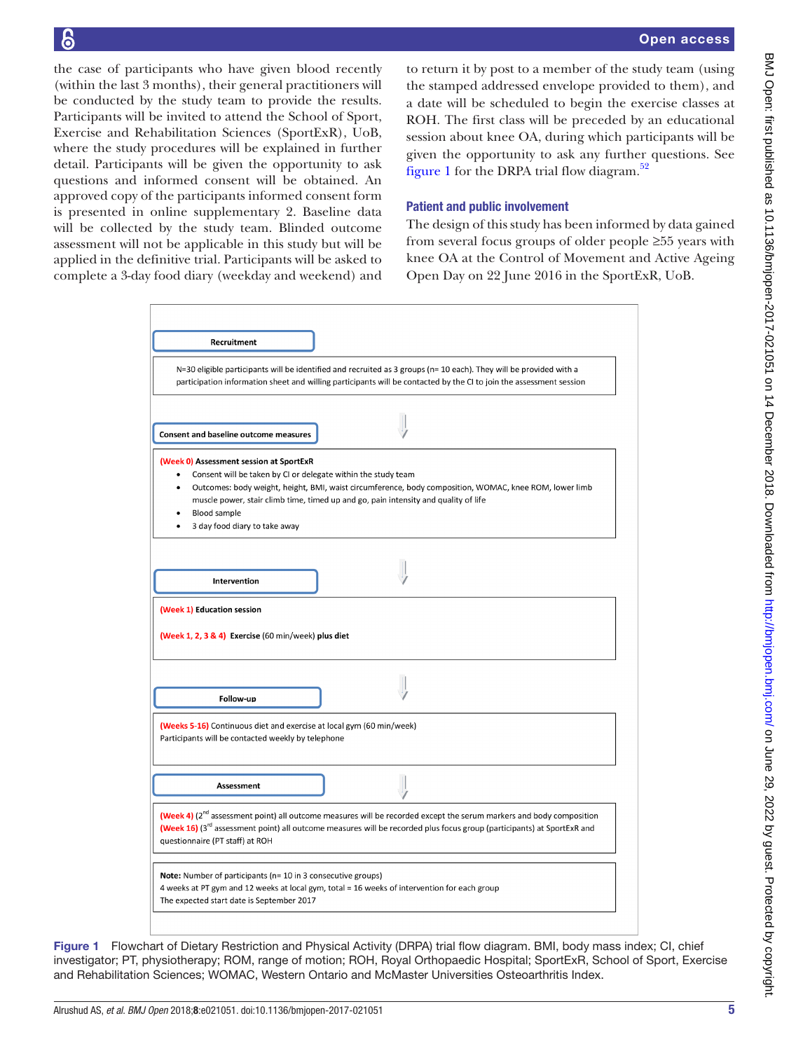the case of participants who have given blood recently (within the last 3 months), their general practitioners will be conducted by the study team to provide the results. Participants will be invited to attend the School of Sport, Exercise and Rehabilitation Sciences (SportExR), UoB, where the study procedures will be explained in further detail. Participants will be given the opportunity to ask questions and informed consent will be obtained. An approved copy of the participants informed consent form is presented in online [supplementary 2](https://dx.doi.org/10.1136/bmjopen-2017-021051). Baseline data will be collected by the study team. Blinded outcome assessment will not be applicable in this study but will be applied in the definitive trial. Participants will be asked to complete a 3-day food diary (weekday and weekend) and

to return it by post to a member of the study team (using the stamped addressed envelope provided to them), and a date will be scheduled to begin the exercise classes at ROH. The first class will be preceded by an educational session about knee OA, during which participants will be given the opportunity to ask any further questions. See [figure](#page-4-0) 1 for the DRPA trial flow diagram. $52$ 

### Patient and public involvement

The design of this study has been informed by data gained from several focus groups of older people ≥55 years with knee OA at the Control of Movement and Active Ageing Open Day on 22 June 2016 in the SportExR, UoB.



<span id="page-4-0"></span>Figure 1 Flowchart of Dietary Restriction and Physical Activity (DRPA) trial flow diagram. BMI, body mass index; CI, chief investigator; PT, physiotherapy; ROM, range of motion; ROH, Royal Orthopaedic Hospital; SportExR, School of Sport, Exercise and Rehabilitation Sciences; WOMAC, Western Ontario and McMaster Universities Osteoarthritis Index.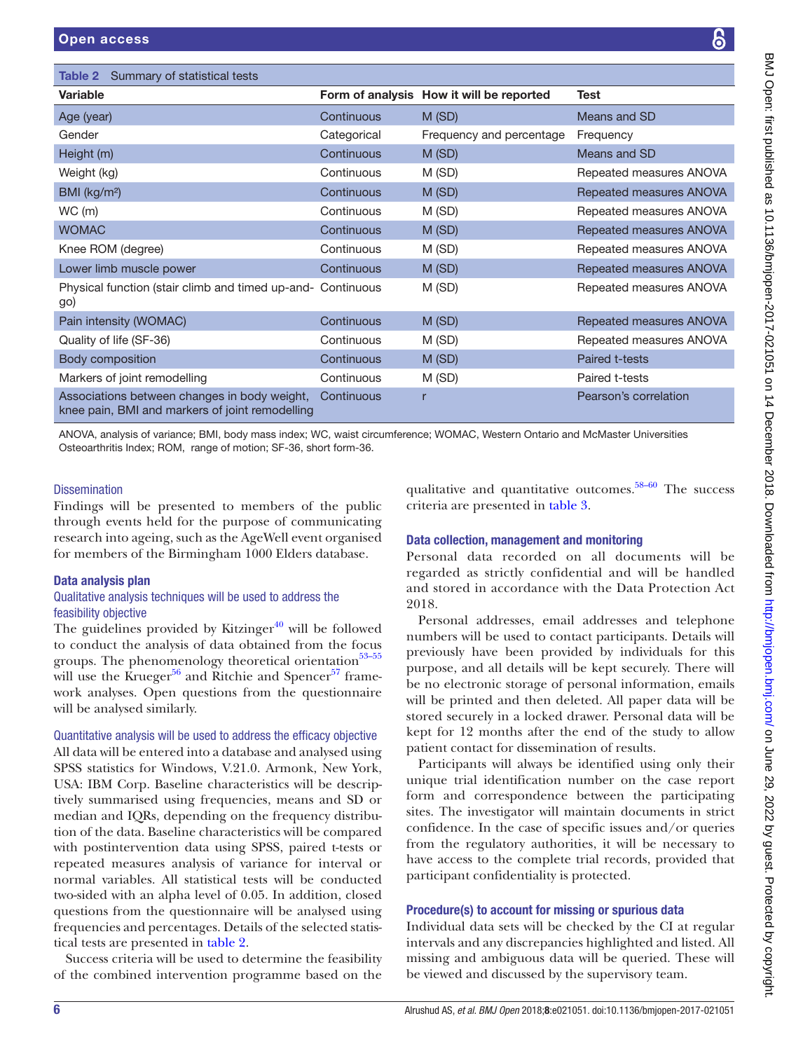<span id="page-5-0"></span>

| <b>Table 2</b> Summary of statistical tests                                                     |             |                                          |                         |
|-------------------------------------------------------------------------------------------------|-------------|------------------------------------------|-------------------------|
| <b>Variable</b>                                                                                 |             | Form of analysis How it will be reported | Test                    |
| Age (year)                                                                                      | Continuous  | M(SD)                                    | Means and SD            |
| Gender                                                                                          | Categorical | Frequency and percentage                 | Frequency               |
| Height (m)                                                                                      | Continuous  | M(SD)                                    | Means and SD            |
| Weight (kg)                                                                                     | Continuous  | M(SD)                                    | Repeated measures ANOVA |
| BMI (kg/m <sup>2</sup> )                                                                        | Continuous  | M (SD)                                   | Repeated measures ANOVA |
| WC(m)                                                                                           | Continuous  | M(SD)                                    | Repeated measures ANOVA |
| <b>WOMAC</b>                                                                                    | Continuous  | M(SD)                                    | Repeated measures ANOVA |
| Knee ROM (degree)                                                                               | Continuous  | M (SD)                                   | Repeated measures ANOVA |
| Lower limb muscle power                                                                         | Continuous  | M(SD)                                    | Repeated measures ANOVA |
| Physical function (stair climb and timed up-and- Continuous<br>go)                              |             | M (SD)                                   | Repeated measures ANOVA |
| Pain intensity (WOMAC)                                                                          | Continuous  | M(SD)                                    | Repeated measures ANOVA |
| Quality of life (SF-36)                                                                         | Continuous  | M(SD)                                    | Repeated measures ANOVA |
| Body composition                                                                                | Continuous  | M(SD)                                    | Paired t-tests          |
| Markers of joint remodelling                                                                    | Continuous  | M(SD)                                    | Paired t-tests          |
| Associations between changes in body weight,<br>knee pain, BMI and markers of joint remodelling | Continuous  | r                                        | Pearson's correlation   |

ANOVA, analysis of variance; BMI, body mass index; WC, waist circumference; WOMAC, Western Ontario and McMaster Universities Osteoarthritis Index; ROM, range of motion; SF-36, short form-36.

### Dissemination

Findings will be presented to members of the public through events held for the purpose of communicating research into ageing, such as the AgeWell event organised for members of the Birmingham 1000 Elders database.

### Data analysis plan

### Qualitative analysis techniques will be used to address the feasibility objective

The guidelines provided by Kitzinger $40$  will be followed to conduct the analysis of data obtained from the focus groups. The phenomenology theoretical orientation $53-55$ will use the Krueger<sup>56</sup> and Ritchie and Spencer<sup>57</sup> framework analyses. Open questions from the questionnaire will be analysed similarly.

### Quantitative analysis will be used to address the efficacy objective

All data will be entered into a database and analysed using SPSS statistics for Windows, V.21.0. Armonk, New York, USA: IBM Corp. Baseline characteristics will be descriptively summarised using frequencies, means and SD or median and IQRs, depending on the frequency distribution of the data. Baseline characteristics will be compared with postintervention data using SPSS, paired t-tests or repeated measures analysis of variance for interval or normal variables. All statistical tests will be conducted two-sided with an alpha level of 0.05. In addition, closed questions from the questionnaire will be analysed using frequencies and percentages. Details of the selected statistical tests are presented in [table](#page-5-0) 2.

Success criteria will be used to determine the feasibility of the combined intervention programme based on the

qualitative and quantitative outcomes. $58-60$  The success criteria are presented in [table](#page-6-0) 3.

### Data collection, management and monitoring

Personal data recorded on all documents will be regarded as strictly confidential and will be handled and stored in accordance with the Data Protection Act 2018.

Personal addresses, email addresses and telephone numbers will be used to contact participants. Details will previously have been provided by individuals for this purpose, and all details will be kept securely. There will be no electronic storage of personal information, emails will be printed and then deleted. All paper data will be stored securely in a locked drawer. Personal data will be kept for 12 months after the end of the study to allow patient contact for dissemination of results.

Participants will always be identified using only their unique trial identification number on the case report form and correspondence between the participating sites. The investigator will maintain documents in strict confidence. In the case of specific issues and/or queries from the regulatory authorities, it will be necessary to have access to the complete trial records, provided that participant confidentiality is protected.

### Procedure(s) to account for missing or spurious data

Individual data sets will be checked by the CI at regular intervals and any discrepancies highlighted and listed. All missing and ambiguous data will be queried. These will be viewed and discussed by the supervisory team.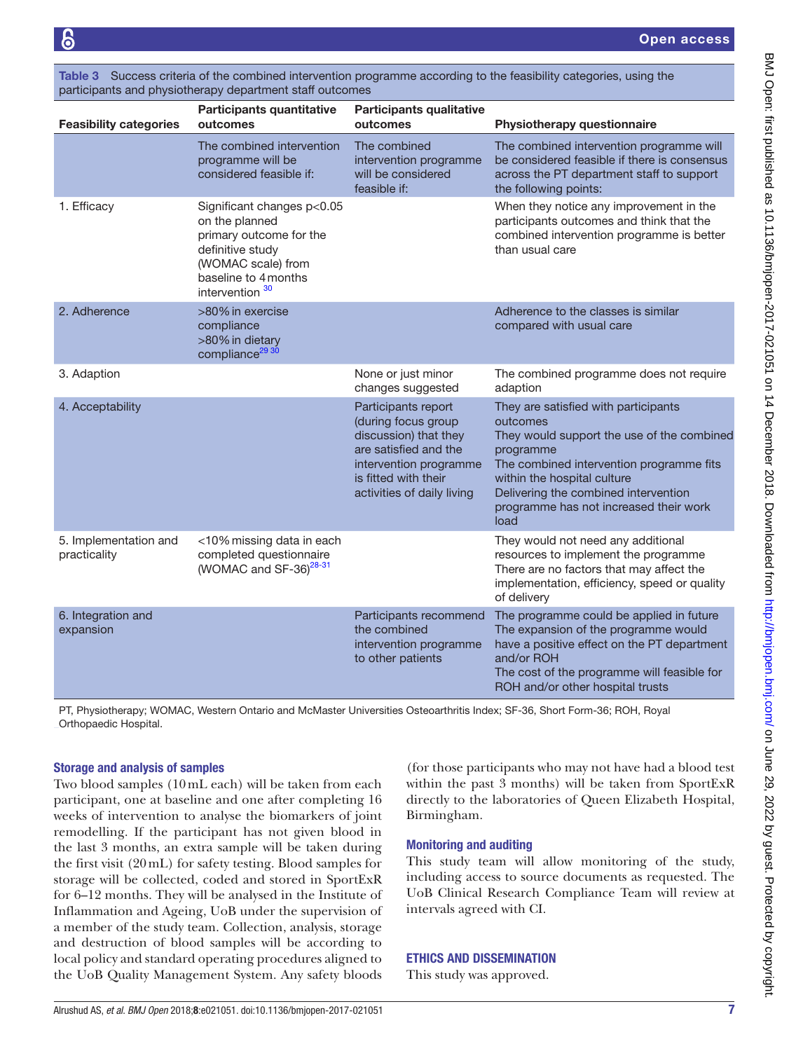<span id="page-6-0"></span>Table 3 Success criteria of the combined intervention programme according to the feasibility categories, using the participants and physiotherapy department staff outcomes

| participatits and privsionicially department stan outcomes |                                                                                                                                                                         |                                                                                                                                                                              |                                                                                                                                                                                                                                                                                  |  |  |  |  |
|------------------------------------------------------------|-------------------------------------------------------------------------------------------------------------------------------------------------------------------------|------------------------------------------------------------------------------------------------------------------------------------------------------------------------------|----------------------------------------------------------------------------------------------------------------------------------------------------------------------------------------------------------------------------------------------------------------------------------|--|--|--|--|
| <b>Feasibility categories</b>                              | <b>Participants quantitative</b><br>outcomes                                                                                                                            | <b>Participants qualitative</b><br>outcomes                                                                                                                                  | Physiotherapy questionnaire                                                                                                                                                                                                                                                      |  |  |  |  |
|                                                            | The combined intervention<br>programme will be<br>considered feasible if:                                                                                               | The combined<br>intervention programme<br>will be considered<br>feasible if:                                                                                                 | The combined intervention programme will<br>be considered feasible if there is consensus<br>across the PT department staff to support<br>the following points:                                                                                                                   |  |  |  |  |
| 1. Efficacy                                                | Significant changes p<0.05<br>on the planned<br>primary outcome for the<br>definitive study<br>(WOMAC scale) from<br>baseline to 4 months<br>intervention <sup>30</sup> |                                                                                                                                                                              | When they notice any improvement in the<br>participants outcomes and think that the<br>combined intervention programme is better<br>than usual care                                                                                                                              |  |  |  |  |
| 2. Adherence                                               | >80% in exercise<br>compliance<br>>80% in dietary<br>compliance <sup>29</sup> 30                                                                                        |                                                                                                                                                                              | Adherence to the classes is similar<br>compared with usual care                                                                                                                                                                                                                  |  |  |  |  |
| 3. Adaption                                                |                                                                                                                                                                         | None or just minor<br>changes suggested                                                                                                                                      | The combined programme does not require<br>adaption                                                                                                                                                                                                                              |  |  |  |  |
| 4. Acceptability                                           |                                                                                                                                                                         | Participants report<br>(during focus group<br>discussion) that they<br>are satisfied and the<br>intervention programme<br>is fitted with their<br>activities of daily living | They are satisfied with participants<br>outcomes<br>They would support the use of the combined<br>programme<br>The combined intervention programme fits<br>within the hospital culture<br>Delivering the combined intervention<br>programme has not increased their work<br>load |  |  |  |  |
| 5. Implementation and<br>practicality                      | <10% missing data in each<br>completed questionnaire<br>(WOMAC and SF-36) $28-31$                                                                                       |                                                                                                                                                                              | They would not need any additional<br>resources to implement the programme<br>There are no factors that may affect the<br>implementation, efficiency, speed or quality<br>of delivery                                                                                            |  |  |  |  |
| 6. Integration and<br>expansion                            |                                                                                                                                                                         | Participants recommend<br>the combined<br>intervention programme<br>to other patients                                                                                        | The programme could be applied in future<br>The expansion of the programme would<br>have a positive effect on the PT department<br>and/or ROH<br>The cost of the programme will feasible for<br>ROH and/or other hospital trusts                                                 |  |  |  |  |

PT, Physiotherapy; WOMAC, Western Ontario and McMaster Universities Osteoarthritis Index; SF-36, Short Form-36; ROH, Royal Orthopaedic Hospital.

### Storage and analysis of samples

Two blood samples (10mL each) will be taken from each participant, one at baseline and one after completing 16 weeks of intervention to analyse the biomarkers of joint remodelling. If the participant has not given blood in the last 3 months, an extra sample will be taken during the first visit (20mL) for safety testing. Blood samples for storage will be collected, coded and stored in SportExR for 6–12 months. They will be analysed in the Institute of Inflammation and Ageing, UoB under the supervision of a member of the study team. Collection, analysis, storage and destruction of blood samples will be according to local policy and standard operating procedures aligned to the UoB Quality Management System. Any safety bloods

(for those participants who may not have had a blood test within the past 3 months) will be taken from SportExR directly to the laboratories of Queen Elizabeth Hospital, Birmingham.

### Monitoring and auditing

This study team will allow monitoring of the study, including access to source documents as requested. The UoB Clinical Research Compliance Team will review at intervals agreed with CI.

#### Ethics and dissemination

This study was approved.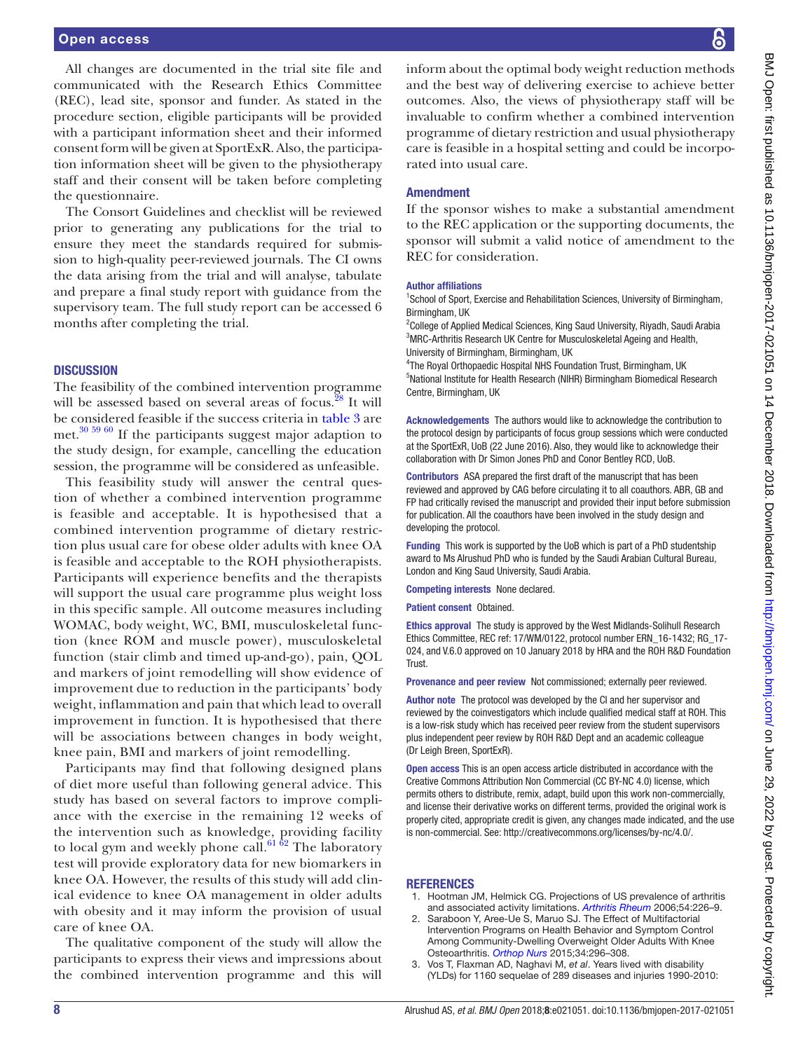### Open access

All changes are documented in the trial site file and communicated with the Research Ethics Committee (REC), lead site, sponsor and funder. As stated in the procedure section, eligible participants will be provided with a participant information sheet and their informed consent form will be given at SportExR. Also, the participation information sheet will be given to the physiotherapy staff and their consent will be taken before completing the questionnaire.

The Consort Guidelines and checklist will be reviewed prior to generating any publications for the trial to ensure they meet the standards required for submission to high-quality peer-reviewed journals. The CI owns the data arising from the trial and will analyse, tabulate and prepare a final study report with guidance from the supervisory team. The full study report can be accessed 6 months after completing the trial.

### **DISCUSSION**

The feasibility of the combined intervention programme will be assessed based on several areas of focus.<sup>[28](#page-8-18)</sup> It will be considered feasible if the success criteria in [table](#page-6-0) 3 are met.[30 59 60](#page-8-34) If the participants suggest major adaption to the study design, for example, cancelling the education session, the programme will be considered as unfeasible.

This feasibility study will answer the central question of whether a combined intervention programme is feasible and acceptable. It is hypothesised that a combined intervention programme of dietary restriction plus usual care for obese older adults with knee OA is feasible and acceptable to the ROH physiotherapists. Participants will experience benefits and the therapists will support the usual care programme plus weight loss in this specific sample. All outcome measures including WOMAC, body weight, WC, BMI, musculoskeletal function (knee ROM and muscle power), musculoskeletal function (stair climb and timed up-and-go), pain, QOL and markers of joint remodelling will show evidence of improvement due to reduction in the participants' body weight, inflammation and pain that which lead to overall improvement in function. It is hypothesised that there will be associations between changes in body weight, knee pain, BMI and markers of joint remodelling.

Participants may find that following designed plans of diet more useful than following general advice. This study has based on several factors to improve compliance with the exercise in the remaining 12 weeks of the intervention such as knowledge, providing facility to local gym and weekly phone call.<sup>61</sup>  $\overrightarrow{62}$  The laboratory test will provide exploratory data for new biomarkers in knee OA. However, the results of this study will add clinical evidence to knee OA management in older adults with obesity and it may inform the provision of usual care of knee OA.

The qualitative component of the study will allow the participants to express their views and impressions about the combined intervention programme and this will inform about the optimal body weight reduction methods and the best way of delivering exercise to achieve better outcomes. Also, the views of physiotherapy staff will be invaluable to confirm whether a combined intervention programme of dietary restriction and usual physiotherapy care is feasible in a hospital setting and could be incorporated into usual care.

### Amendment

If the sponsor wishes to make a substantial amendment to the REC application or the supporting documents, the sponsor will submit a valid notice of amendment to the REC for consideration.

#### Author affiliations

<sup>1</sup>School of Sport, Exercise and Rehabilitation Sciences, University of Birmingham, Birmingham, UK

<sup>2</sup>College of Applied Medical Sciences, King Saud University, Riyadh, Saudi Arabia <sup>3</sup>MRC-Arthritis Research UK Centre for Musculoskeletal Ageing and Health, University of Birmingham, Birmingham, UK

<sup>4</sup>The Royal Orthopaedic Hospital NHS Foundation Trust, Birmingham, UK 5 National Institute for Health Research (NIHR) Birmingham Biomedical Research Centre, Birmingham, UK

Acknowledgements The authors would like to acknowledge the contribution to the protocol design by participants of focus group sessions which were conducted at the SportExR, UoB (22 June 2016). Also, they would like to acknowledge their collaboration with Dr Simon Jones PhD and Conor Bentley RCD, UoB.

Contributors ASA prepared the first draft of the manuscript that has been reviewed and approved by CAG before circulating it to all coauthors. ABR, GB and FP had critically revised the manuscript and provided their input before submission for publication. All the coauthors have been involved in the study design and developing the protocol.

Funding This work is supported by the UoB which is part of a PhD studentship award to Ms Alrushud PhD who is funded by the Saudi Arabian Cultural Bureau, London and King Saud University, Saudi Arabia.

Competing interests None declared.

Patient consent Obtained.

Ethics approval The study is approved by the West Midlands-Solihull Research Ethics Committee, REC ref: 17/WM/0122, protocol number ERN\_16-1432; RG\_17- 024, and V.6.0 approved on 10 January 2018 by HRA and the ROH R&D Foundation **Trust** 

Provenance and peer review Not commissioned; externally peer reviewed.

Author note The protocol was developed by the CI and her supervisor and reviewed by the coinvestigators which include qualified medical staff at ROH. This is a low-risk study which has received peer review from the student supervisors plus independent peer review by ROH R&D Dept and an academic colleague (Dr Leigh Breen, SportExR).

Open access This is an open access article distributed in accordance with the Creative Commons Attribution Non Commercial (CC BY-NC 4.0) license, which permits others to distribute, remix, adapt, build upon this work non-commercially, and license their derivative works on different terms, provided the original work is properly cited, appropriate credit is given, any changes made indicated, and the use is non-commercial. See: [http://creativecommons.org/licenses/by-nc/4.0/.](http://creativecommons.org/licenses/by-nc/4.0/)

#### **REFERENCES**

- <span id="page-7-0"></span>1. Hootman JM, Helmick CG. Projections of US prevalence of arthritis and associated activity limitations. *[Arthritis Rheum](http://dx.doi.org/10.1002/art.21562)* 2006;54:226–9.
- 2. Saraboon Y, Aree-Ue S, Maruo SJ. The Effect of Multifactorial Intervention Programs on Health Behavior and Symptom Control Among Community-Dwelling Overweight Older Adults With Knee Osteoarthritis. *[Orthop Nurs](http://dx.doi.org/10.1097/NOR.0000000000000180)* 2015;34:296–308.
- <span id="page-7-1"></span>3. Vos T, Flaxman AD, Naghavi M, *et al*. Years lived with disability (YLDs) for 1160 sequelae of 289 diseases and injuries 1990-2010: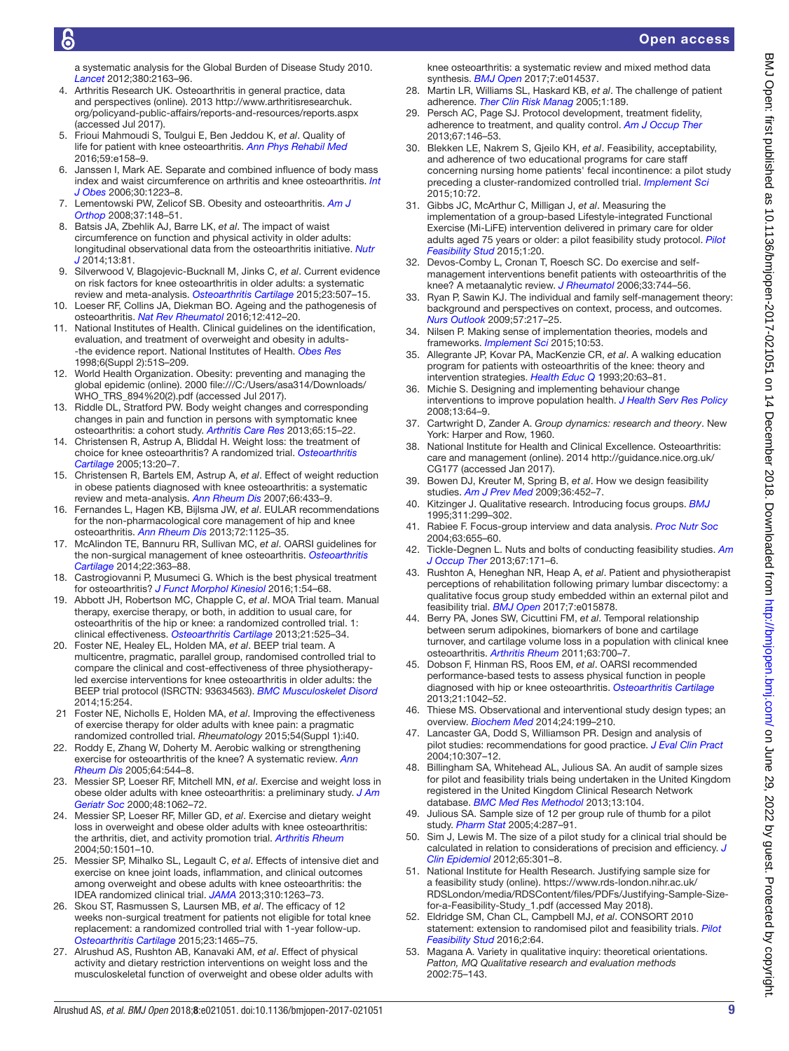a systematic analysis for the Global Burden of Disease Study 2010. *[Lancet](http://dx.doi.org/10.1016/S0140-6736(12)61729-2)* 2012;380:2163–96.

- <span id="page-8-0"></span>4. Arthritis Research UK. Osteoarthritis in general practice, data and perspectives (online). 2013 [http://www.arthritisresearchuk.](http://www.arthritisresearchuk.org/policyand-public-affairs/reports-and-resources/reports.aspx) [org/policyand-public-affairs/reports-and-resources/reports.aspx](http://www.arthritisresearchuk.org/policyand-public-affairs/reports-and-resources/reports.aspx)  (accessed Jul 2017).
- <span id="page-8-1"></span>5. Frioui Mahmoudi S, Toulgui E, Ben Jeddou K, *et al*. Quality of life for patient with knee osteoarthritis. *[Ann Phys Rehabil Med](http://dx.doi.org/10.1016/j.rehab.2016.07.354)* 2016;59:e158–9.
- <span id="page-8-2"></span>6. Janssen I, Mark AE. Separate and combined influence of body mass index and waist circumference on arthritis and knee osteoarthritis. *[Int](http://dx.doi.org/10.1038/sj.ijo.0803287)  [J Obes](http://dx.doi.org/10.1038/sj.ijo.0803287)* 2006;30:1223–8.
- <span id="page-8-3"></span>7. Lementowski PW, Zelicof SB. Obesity and osteoarthritis. *[Am J](http://www.ncbi.nlm.nih.gov/pubmed/18438470)  [Orthop](http://www.ncbi.nlm.nih.gov/pubmed/18438470)* 2008;37:148–51.
- 8. Batsis JA, Zbehlik AJ, Barre LK, *et al*. The impact of waist circumference on function and physical activity in older adults: longitudinal observational data from the osteoarthritis initiative. *[Nutr](http://dx.doi.org/10.1186/1475-2891-13-81)  [J](http://dx.doi.org/10.1186/1475-2891-13-81)* 2014;13:81.
- 9. Silverwood V, Blagojevic-Bucknall M, Jinks C, *et al*. Current evidence on risk factors for knee osteoarthritis in older adults: a systematic review and meta-analysis. *[Osteoarthritis Cartilage](http://dx.doi.org/10.1016/j.joca.2014.11.019)* 2015;23:507–15.
- 10. Loeser RF, Collins JA, Diekman BO. Ageing and the pathogenesis of osteoarthritis. *[Nat Rev Rheumatol](http://dx.doi.org/10.1038/nrrheum.2016.65)* 2016;12:412–20.
- <span id="page-8-4"></span>11. National Institutes of Health. Clinical guidelines on the identification, evaluation, and treatment of overweight and obesity in adults- -the evidence report. National Institutes of Health. *[Obes Res](http://www.ncbi.nlm.nih.gov/pubmed/9813653)* 1998;6(Suppl 2):51S–209.
- 12. World Health Organization. Obesity: preventing and managing the global epidemic (online). 2000 [file:///C:/Users/asa314/Downloads/](file:///C:/Users/asa314/Downloads/WHO_TRS_894%20(2).pdf) [WHO\\_TRS\\_894%20\(2\).pdf](file:///C:/Users/asa314/Downloads/WHO_TRS_894%20(2).pdf) (accessed Jul 2017).
- <span id="page-8-5"></span>13. Riddle DL, Stratford PW. Body weight changes and corresponding changes in pain and function in persons with symptomatic knee osteoarthritis: a cohort study. *[Arthritis Care Res](http://dx.doi.org/10.1002/acr.21692)* 2013;65:15–22.
- <span id="page-8-6"></span>14. Christensen R, Astrup A, Bliddal H. Weight loss: the treatment of choice for knee osteoarthritis? A randomized trial. *[Osteoarthritis](http://dx.doi.org/10.1016/j.joca.2004.10.008)  [Cartilage](http://dx.doi.org/10.1016/j.joca.2004.10.008)* 2005;13:20–7.
- <span id="page-8-7"></span>15. Christensen R, Bartels EM, Astrup A, *et al*. Effect of weight reduction in obese patients diagnosed with knee osteoarthritis: a systematic review and meta-analysis. *[Ann Rheum Dis](http://dx.doi.org/10.1136/ard.2006.065904)* 2007;66:433–9.
- <span id="page-8-8"></span>16. Fernandes L, Hagen KB, Bijlsma JW, *et al*. EULAR recommendations for the non-pharmacological core management of hip and knee osteoarthritis. *[Ann Rheum Dis](http://dx.doi.org/10.1136/annrheumdis-2012-202745)* 2013;72:1125–35.
- 17. McAlindon TE, Bannuru RR, Sullivan MC, *et al*. OARSI guidelines for the non-surgical management of knee osteoarthritis. *[Osteoarthritis](http://dx.doi.org/10.1016/j.joca.2014.01.003)  [Cartilage](http://dx.doi.org/10.1016/j.joca.2014.01.003)* 2014;22:363–88.
- <span id="page-8-9"></span>18. Castrogiovanni P, Musumeci G. Which is the best physical treatment for osteoarthritis? *[J Funct Morphol Kinesiol](http://dx.doi.org/10.3390/jfmk1010054)* 2016;1:54–68.
- <span id="page-8-10"></span>19. Abbott JH, Robertson MC, Chapple C, *et al*. MOA Trial team. Manual therapy, exercise therapy, or both, in addition to usual care, for osteoarthritis of the hip or knee: a randomized controlled trial. 1: clinical effectiveness. *[Osteoarthritis Cartilage](http://dx.doi.org/10.1016/j.joca.2012.12.014)* 2013;21:525–34.
- <span id="page-8-11"></span>20. Foster NE, Healey EL, Holden MA, *et al*. BEEP trial team. A multicentre, pragmatic, parallel group, randomised controlled trial to compare the clinical and cost-effectiveness of three physiotherapyled exercise interventions for knee osteoarthritis in older adults: the BEEP trial protocol (ISRCTN: 93634563). *[BMC Musculoskelet Disord](http://dx.doi.org/10.1186/1471-2474-15-254)* 2014;15:254.
- <span id="page-8-12"></span>21 Foster NE, Nicholls E, Holden MA, *et al*. Improving the effectiveness of exercise therapy for older adults with knee pain: a pragmatic randomized controlled trial. *Rheumatology* 2015;54(Suppl 1):i40.
- <span id="page-8-13"></span>22. Roddy E, Zhang W, Doherty M. Aerobic walking or strengthening exercise for osteoarthritis of the knee? A systematic review. *[Ann](http://dx.doi.org/10.1136/ard.2004.028746)  [Rheum Dis](http://dx.doi.org/10.1136/ard.2004.028746)* 2005;64:544–8.
- <span id="page-8-14"></span>23. Messier SP, Loeser RF, Mitchell MN, *et al*. Exercise and weight loss in obese older adults with knee osteoarthritis: a preliminary study. *[J Am](http://dx.doi.org/10.1111/j.1532-5415.2000.tb04781.x)  [Geriatr Soc](http://dx.doi.org/10.1111/j.1532-5415.2000.tb04781.x)* 2000;48:1062–72.
- <span id="page-8-16"></span>24. Messier SP, Loeser RF, Miller GD, *et al*. Exercise and dietary weight loss in overweight and obese older adults with knee osteoarthritis: the arthritis, diet, and activity promotion trial. *[Arthritis Rheum](http://dx.doi.org/10.1002/art.20256)* 2004;50:1501–10.
- <span id="page-8-17"></span>25. Messier SP, Mihalko SL, Legault C, *et al*. Effects of intensive diet and exercise on knee joint loads, inflammation, and clinical outcomes among overweight and obese adults with knee osteoarthritis: the IDEA randomized clinical trial. *[JAMA](http://dx.doi.org/10.1001/jama.2013.277669)* 2013;310:1263–73.
- 26. Skou ST, Rasmussen S, Laursen MB, *et al*. The efficacy of 12 weeks non-surgical treatment for patients not eligible for total knee replacement: a randomized controlled trial with 1-year follow-up. *[Osteoarthritis Cartilage](http://dx.doi.org/10.1016/j.joca.2015.04.021)* 2015;23:1465–75.
- <span id="page-8-15"></span>27. Alrushud AS, Rushton AB, Kanavaki AM, *et al*. Effect of physical activity and dietary restriction interventions on weight loss and the musculoskeletal function of overweight and obese older adults with

knee osteoarthritis: a systematic review and mixed method data synthesis. *[BMJ Open](http://dx.doi.org/10.1136/bmjopen-2016-014537)* 2017;7:e014537.

Open access

- <span id="page-8-18"></span>28. Martin LR, Williams SL, Haskard KB, *et al*. The challenge of patient adherence. *[Ther Clin Risk Manag](http://www.ncbi.nlm.nih.gov/pubmed/18360559)* 2005;1:189.
- <span id="page-8-35"></span>29. Persch AC, Page SJ. Protocol development, treatment fidelity, adherence to treatment, and quality control. *[Am J Occup Ther](http://dx.doi.org/10.5014/ajot.2013.006213)* 2013;67:146–53.
- <span id="page-8-34"></span>30. Blekken LE, Nakrem S, Gjeilo KH, *et al*. Feasibility, acceptability, and adherence of two educational programs for care staff concerning nursing home patients' fecal incontinence: a pilot study preceding a cluster-randomized controlled trial. *[Implement Sci](http://dx.doi.org/10.1186/s13012-015-0263-8)* 2015;10:72.
- 31. Gibbs JC, McArthur C, Milligan J, *et al*. Measuring the implementation of a group-based Lifestyle-integrated Functional Exercise (Mi-LiFE) intervention delivered in primary care for older adults aged 75 years or older: a pilot feasibility study protocol. *[Pilot](http://dx.doi.org/10.1186/s40814-015-0016-0)  [Feasibility Stud](http://dx.doi.org/10.1186/s40814-015-0016-0)* 2015;1:20.
- <span id="page-8-19"></span>32. Devos-Comby L, Cronan T, Roesch SC. Do exercise and selfmanagement interventions benefit patients with osteoarthritis of the knee? A metaanalytic review. *[J Rheumatol](http://www.ncbi.nlm.nih.gov/pubmed/16583478)* 2006;33:744–56.
- 33. Ryan P, Sawin KJ. The individual and family self-management theory: background and perspectives on context, process, and outcomes. *[Nurs Outlook](http://dx.doi.org/10.1016/j.outlook.2008.10.004)* 2009;57:217–25.
- 34. Nilsen P. Making sense of implementation theories, models and frameworks. *[Implement Sci](http://dx.doi.org/10.1186/s13012-015-0242-0)* 2015;10:53.
- <span id="page-8-20"></span>35. Allegrante JP, Kovar PA, MacKenzie CR, *et al*. A walking education program for patients with osteoarthritis of the knee: theory and intervention strategies. *[Health Educ Q](http://dx.doi.org/10.1177/109019819302000107)* 1993;20:63–81.
- <span id="page-8-21"></span>36. Michie S. Designing and implementing behaviour change interventions to improve population health. *[J Health Serv Res Policy](http://dx.doi.org/10.1258/jhsrp.2008.008014)* 2008;13:64–9.
- <span id="page-8-22"></span>37. Cartwright D, Zander A. *Group dynamics: research and theory*. New York: Harper and Row, 1960.
- <span id="page-8-23"></span>38. National Institute for Health and Clinical Excellence. Osteoarthritis: care and management (online). 2014 [http://guidance.nice.org.uk/](http://guidance.nice.org.uk/CG177) [CG177](http://guidance.nice.org.uk/CG177) (accessed Jan 2017).
- <span id="page-8-24"></span>39. Bowen DJ, Kreuter M, Spring B, *et al*. How we design feasibility studies. *[Am J Prev Med](http://dx.doi.org/10.1016/j.amepre.2009.02.002)* 2009;36:452–7.
- <span id="page-8-32"></span>40. Kitzinger J. Qualitative research. Introducing focus groups. *[BMJ](http://dx.doi.org/10.1136/bmj.311.7000.299)* 1995;311:299–302.
- 41. Rabiee F. Focus-group interview and data analysis. *[Proc Nutr Soc](http://dx.doi.org/10.1079/PNS2004399)* 2004;63:655–60.
- 42. Tickle-Degnen L. Nuts and bolts of conducting feasibility studies. *[Am](http://dx.doi.org/10.5014/ajot.2013.006270)  [J Occup Ther](http://dx.doi.org/10.5014/ajot.2013.006270)* 2013;67:171–6.
- 43. Rushton A, Heneghan NR, Heap A, *et al*. Patient and physiotherapist perceptions of rehabilitation following primary lumbar discectomy: a qualitative focus group study embedded within an external pilot and feasibility trial. *[BMJ Open](http://dx.doi.org/10.1136/bmjopen-2017-015878)* 2017;7:e015878.
- <span id="page-8-25"></span>44. Berry PA, Jones SW, Cicuttini FM, *et al*. Temporal relationship between serum adipokines, biomarkers of bone and cartilage turnover, and cartilage volume loss in a population with clinical knee osteoarthritis. *[Arthritis Rheum](http://dx.doi.org/10.1002/art.30182)* 2011;63:700–7.
- <span id="page-8-26"></span>45. Dobson F, Hinman RS, Roos EM, *et al*. OARSI recommended performance-based tests to assess physical function in people diagnosed with hip or knee osteoarthritis. *[Osteoarthritis Cartilage](http://dx.doi.org/10.1016/j.joca.2013.05.002)* 2013;21:1042–52.
- <span id="page-8-27"></span>46. Thiese MS. Observational and interventional study design types; an overview. *[Biochem Med](http://dx.doi.org/10.11613/BM.2014.022)* 2014;24:199–210.
- <span id="page-8-28"></span>47. Lancaster GA, Dodd S, Williamson PR. Design and analysis of pilot studies: recommendations for good practice. *[J Eval Clin Pract](http://dx.doi.org/10.1111/j.2002.384.doc.x)* 2004;10:307–12.
- 48. Billingham SA, Whitehead AL, Julious SA. An audit of sample sizes for pilot and feasibility trials being undertaken in the United Kingdom registered in the United Kingdom Clinical Research Network database. *[BMC Med Res Methodol](http://dx.doi.org/10.1186/1471-2288-13-104)* 2013;13:104.
- <span id="page-8-29"></span>49. Julious SA. Sample size of 12 per group rule of thumb for a pilot study. *[Pharm Stat](http://dx.doi.org/10.1002/pst.185)* 2005;4:287–91.
- 50. Sim J, Lewis M. The size of a pilot study for a clinical trial should be calculated in relation to considerations of precision and efficiency. *[J](http://dx.doi.org/10.1016/j.jclinepi.2011.07.011)  [Clin Epidemiol](http://dx.doi.org/10.1016/j.jclinepi.2011.07.011)* 2012;65:301–8.
- <span id="page-8-30"></span>51. National Institute for Health Research. Justifying sample size for a feasibility study (online). [https://www.rds-london.nihr.ac.uk/](https://www.rds-london.nihr.ac.uk/RDSLondon/media/RDSContent/files/PDFs/Justifying-Sample-Size-for-a-Feasibility-Study_1.pdf) [RDSLondon/media/RDSContent/files/PDFs/Justifying-Sample-Size](https://www.rds-london.nihr.ac.uk/RDSLondon/media/RDSContent/files/PDFs/Justifying-Sample-Size-for-a-Feasibility-Study_1.pdf)[for-a-Feasibility-Study\\_1.pdf](https://www.rds-london.nihr.ac.uk/RDSLondon/media/RDSContent/files/PDFs/Justifying-Sample-Size-for-a-Feasibility-Study_1.pdf) (accessed May 2018).
- <span id="page-8-31"></span>52. Eldridge SM, Chan CL, Campbell MJ, *et al*. CONSORT 2010 statement: extension to randomised pilot and feasibility trials. *[Pilot](http://dx.doi.org/10.1186/s40814-016-0105-8)  [Feasibility Stud](http://dx.doi.org/10.1186/s40814-016-0105-8)* 2016;2:64.
- <span id="page-8-33"></span>53. Magana A. Variety in qualitative inquiry: theoretical orientations. *Patton, MQ Qualitative research and evaluation methods* 2002:75–143.